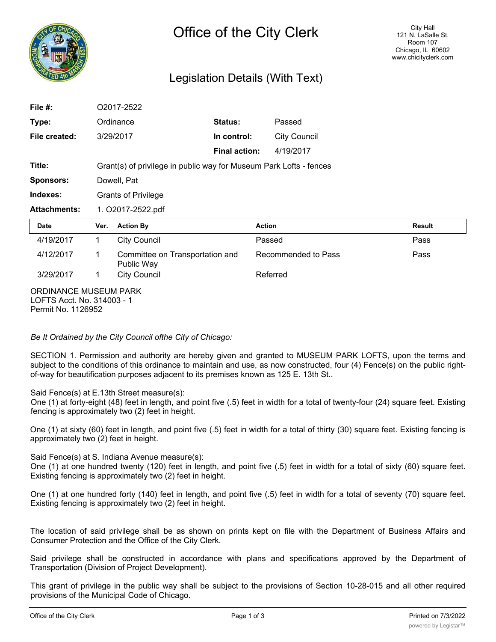

## Legislation Details (With Text)

| File $#$ :                                          | O2017-2522                                                         |                                               |                      |                     |        |
|-----------------------------------------------------|--------------------------------------------------------------------|-----------------------------------------------|----------------------|---------------------|--------|
| Type:                                               |                                                                    | Ordinance                                     | Status:              | Passed              |        |
| File created:                                       |                                                                    | 3/29/2017                                     | In control:          | <b>City Council</b> |        |
|                                                     |                                                                    |                                               | <b>Final action:</b> | 4/19/2017           |        |
| Title:                                              | Grant(s) of privilege in public way for Museum Park Lofts - fences |                                               |                      |                     |        |
| <b>Sponsors:</b>                                    | Dowell, Pat                                                        |                                               |                      |                     |        |
| Indexes:                                            | <b>Grants of Privilege</b>                                         |                                               |                      |                     |        |
| <b>Attachments:</b>                                 | 1. O2017-2522.pdf                                                  |                                               |                      |                     |        |
| <b>Date</b>                                         | Ver.                                                               | <b>Action By</b>                              |                      | <b>Action</b>       | Result |
| 4/19/2017                                           | 1.                                                                 | <b>City Council</b>                           |                      | Passed              | Pass   |
| 4/12/2017                                           | 1                                                                  | Committee on Transportation and<br>Public Way |                      | Recommended to Pass | Pass   |
| 3/29/2017                                           | 1                                                                  | <b>City Council</b>                           |                      | Referred            |        |
| ORDINANCE MUSEUM PARK<br>LOFTS Acct. No. 314003 - 1 |                                                                    |                                               |                      |                     |        |

Permit No. 1126952

*Be It Ordained by the City Council ofthe City of Chicago:*

SECTION 1. Permission and authority are hereby given and granted to MUSEUM PARK LOFTS, upon the terms and subject to the conditions of this ordinance to maintain and use, as now constructed, four (4) Fence(s) on the public rightof-way for beautification purposes adjacent to its premises known as 125 E. 13th St..

Said Fence(s) at E.13th Street measure(s):

One (1) at forty-eight (48) feet in length, and point five (.5) feet in width for a total of twenty-four (24) square feet. Existing fencing is approximately two (2) feet in height.

One (1) at sixty (60) feet in length, and point five (.5) feet in width for a total of thirty (30) square feet. Existing fencing is approximately two (2) feet in height.

Said Fence(s) at S. Indiana Avenue measure(s):

One (1) at one hundred twenty (120) feet in length, and point five (.5) feet in width for a total of sixty (60) square feet. Existing fencing is approximately two (2) feet in height.

One (1) at one hundred forty (140) feet in length, and point five (.5) feet in width for a total of seventy (70) square feet. Existing fencing is approximately two (2) feet in height.

The location of said privilege shall be as shown on prints kept on file with the Department of Business Affairs and Consumer Protection and the Office of the City Clerk.

Said privilege shall be constructed in accordance with plans and specifications approved by the Department of Transportation (Division of Project Development).

This grant of privilege in the public way shall be subject to the provisions of Section 10-28-015 and all other required provisions of the Municipal Code of Chicago.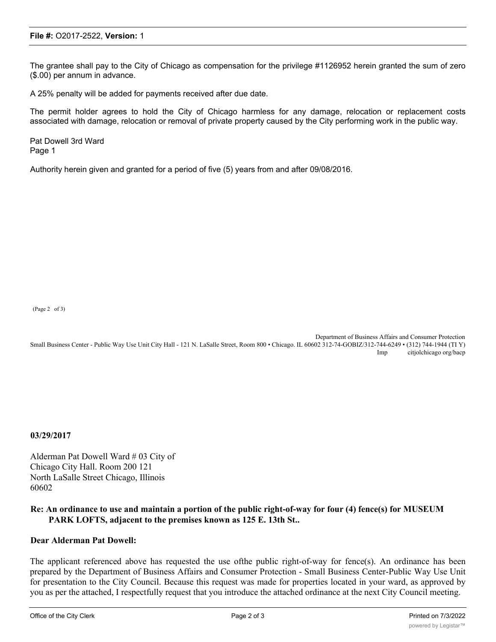## **File #:** O2017-2522, **Version:** 1

The grantee shall pay to the City of Chicago as compensation for the privilege #1126952 herein granted the sum of zero (\$.00) per annum in advance.

A 25% penalty will be added for payments received after due date.

The permit holder agrees to hold the City of Chicago harmless for any damage, relocation or replacement costs associated with damage, relocation or removal of private property caused by the City performing work in the public way.

Pat Dowell 3rd Ward Page 1

Authority herein given and granted for a period of five (5) years from and after 09/08/2016.

(Page 2 of 3)

Department of Business Affairs and Consumer Protection Small Business Center - Public Way Use Unit City Hall - 121 N. LaSalle Street, Room 800 • Chicago. IL 60602 312-74-GOBIZ/312-744-6249 • (312) 744-1944 (TI Y) Imp citjolchicago org/bacp

**03/29/2017**

Alderman Pat Dowell Ward # 03 City of Chicago City Hall. Room 200 121 North LaSalle Street Chicago, Illinois 60602

## **Re: An ordinance to use and maintain a portion of the public right-of-way for four (4) fence(s) for MUSEUM PARK LOFTS, adjacent to the premises known as 125 E. 13th St..**

## **Dear Alderman Pat Dowell:**

The applicant referenced above has requested the use ofthe public right-of-way for fence(s). An ordinance has been prepared by the Department of Business Affairs and Consumer Protection - Small Business Center-Public Way Use Unit for presentation to the City Council. Because this request was made for properties located in your ward, as approved by you as per the attached, I respectfully request that you introduce the attached ordinance at the next City Council meeting.